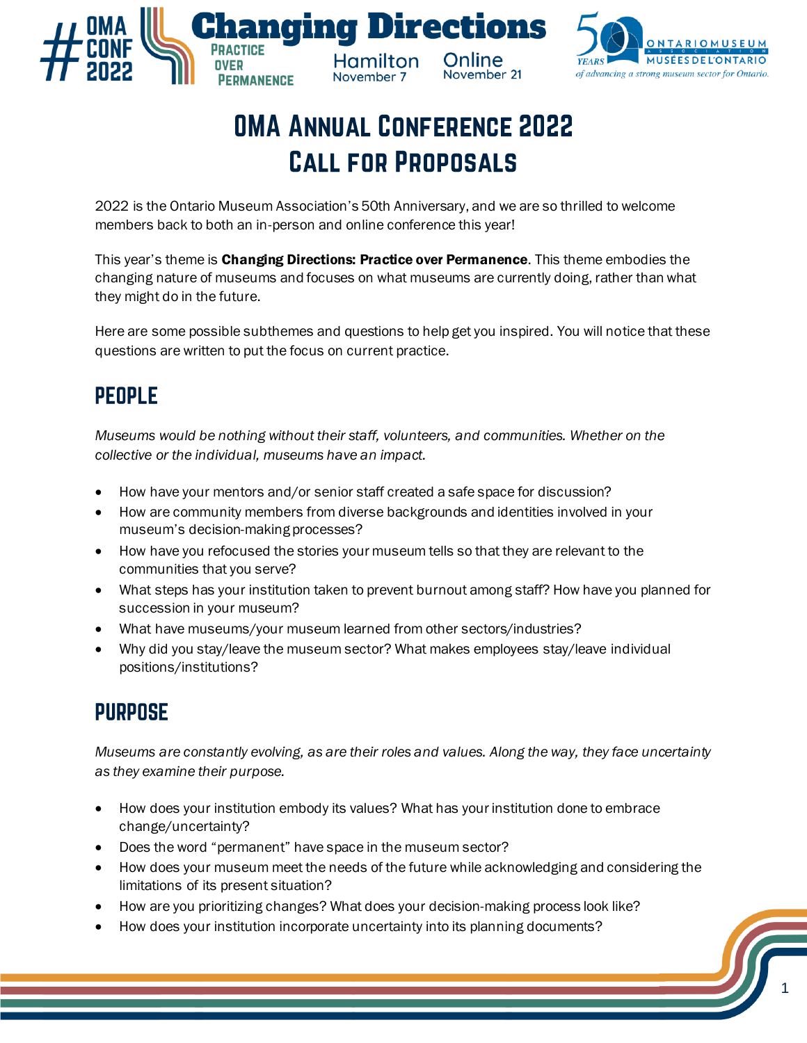



# **OMA ANNUAL CONFERENCE 2022 CALL FOR PROPOSALS**

2022 is the Ontario Museum Association's 50th Anniversary, and we are so thrilled to welcome members back to both an in-person and online conference this year!

This year's theme is Changing Directions: Practice over Permanence. This theme embodies the changing nature of museums and focuses on what museums are currently doing, rather than what they might do in the future.

Here are some possible subthemes and questions to help get you inspired. You will notice that these questions are written to put the focus on current practice.

# **PEOPLE**

*Museums would be nothing without their staff, volunteers, and communities. Whether on the collective or the individual, museums have an impact.*

- How have your mentors and/or senior staff created a safe space for discussion?
- How are community members from diverse backgrounds and identities involved in your museum's decision-making processes?
- How have you refocused the stories your museum tells so that they are relevant to the communities that you serve?
- What steps has your institution taken to prevent burnout among staff? How have you planned for succession in your museum?
- What have museums/your museum learned from other sectors/industries?
- Why did you stay/leave the museum sector? What makes employees stay/leave individual positions/institutions?

# **PURPOSE**

*Museums are constantly evolving, as are their roles and values. Along the way, they face uncertainty as they examine their purpose.*

- How does your institution embody its values? What has your institution done to embrace change/uncertainty?
- Does the word "permanent" have space in the museum sector?
- How does your museum meet the needs of the future while acknowledging and considering the limitations of its present situation?
- How are you prioritizing changes? What does your decision-making process look like?
- How does your institution incorporate uncertainty into its planning documents?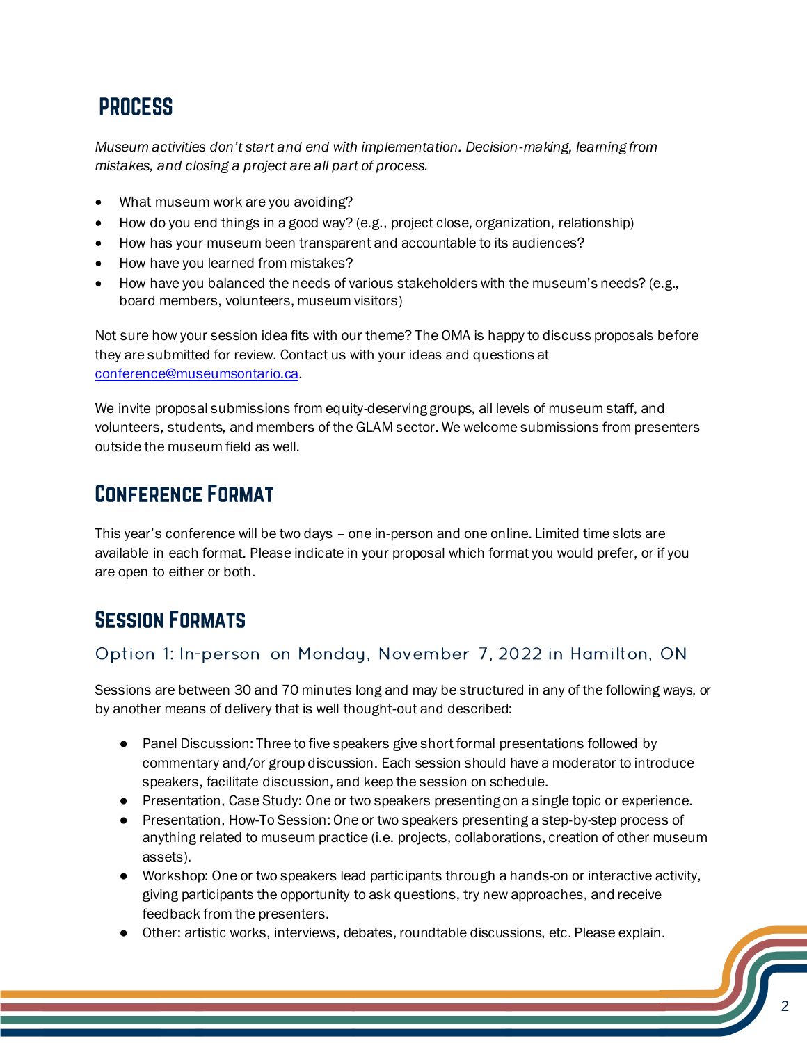# **PROCESS**

*Museum activities don't start and end with implementation. Decision-making, learning from mistakes, and closing a project are all part of process.*

- What museum work are you avoiding?
- How do you end things in a good way? (e.g., project close, organization, relationship)
- How has your museum been transparent and accountable to its audiences?
- How have you learned from mistakes?
- How have you balanced the needs of various stakeholders with the museum's needs? (e.g., board members, volunteers, museum visitors)

Not sure how your session idea fits with our theme? The OMA is happy to discuss proposals before they are submitted for review. Contact us with your ideas and questions at [conference@museumsontario.ca.](mailto:conference@museumsontario.ca)

We invite proposal submissions from equity-deserving groups, all levels of museum staff, and volunteers, students, and members of the GLAM sector. We welcome submissions from presenters outside the museum field as well.

# **CONFERENCE FORMAT**

This year's conference will be two days – one in-person and one online. Limited time slots are available in each format. Please indicate in your proposal which format you would prefer, or if you are open to either or both.

# **SESSION FORMATS**

#### Option 1: In-person on Monday, November 7, 2022 in Hamilton, ON

Sessions are between 30 and 70 minutes long and may be structured in any of the following ways, or by another means of delivery that is well thought-out and described:

- Panel Discussion: Three to five speakers give short formal presentations followed by commentary and/or group discussion. Each session should have a moderator to introduce speakers, facilitate discussion, and keep the session on schedule.
- Presentation, Case Study: One or two speakers presenting on a single topic or experience.
- Presentation, How-To Session: One or two speakers presenting a step-by-step process of anything related to museum practice (i.e. projects, collaborations, creation of other museum assets).
- Workshop: One or two speakers lead participants through a hands-on or interactive activity, giving participants the opportunity to ask questions, try new approaches, and receive feedback from the presenters.
- Other: artistic works, interviews, debates, roundtable discussions, etc. Please explain.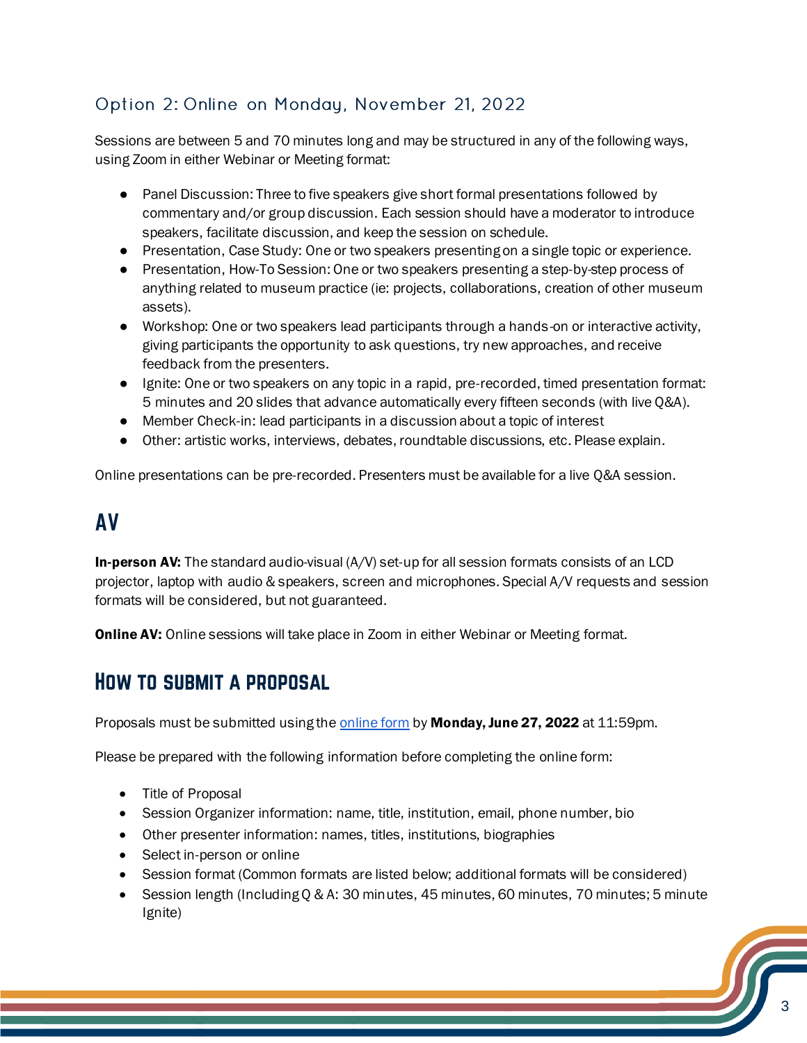#### Option 2: Online on Monday, November 21, 2022

Sessions are between 5 and 70 minutes long and may be structured in any of the following ways, using Zoom in either Webinar or Meeting format:

- Panel Discussion: Three to five speakers give short formal presentations followed by commentary and/or group discussion. Each session should have a moderator to introduce speakers, facilitate discussion, and keep the session on schedule.
- Presentation, Case Study: One or two speakers presenting on a single topic or experience.
- Presentation, How-To Session: One or two speakers presenting a step-by-step process of anything related to museum practice (ie: projects, collaborations, creation of other museum assets).
- Workshop: One or two speakers lead participants through a hands-on or interactive activity, giving participants the opportunity to ask questions, try new approaches, and receive feedback from the presenters.
- Ignite: One or two speakers on any topic in a rapid, pre-recorded, timed presentation format: 5 minutes and 20 slides that advance automatically every fifteen seconds (with live Q&A).
- Member Check-in: lead participants in a discussion about a topic of interest
- Other: artistic works, interviews, debates, roundtable discussions, etc. Please explain.

Online presentations can be pre-recorded. Presenters must be available for a live Q&A session.

# **AV**

**In-person AV:** The standard audio-visual  $(A/V)$  set-up for all session formats consists of an LCD projector, laptop with audio & speakers, screen and microphones. Special A/V requests and session formats will be considered, but not guaranteed.

**Online AV:** Online sessions will take place in Zoom in either Webinar or Meeting format.

#### **HOW TO SUBMIT A PROPOSAL**

Proposals must be submitted using the **online form** by **Monday, June 27, 2022** at 11:59pm.

Please be prepared with the following information before completing the online form:

- Title of Proposal
- Session Organizer information: name, title, institution, email, phone number, bio
- Other presenter information: names, titles, institutions, biographies
- Select in-person or online
- Session format (Common formats are listed below; additional formats will be considered)
- Session length (Including Q & A: 30 minutes, 45 minutes, 60 minutes, 70 minutes; 5 minute Ignite)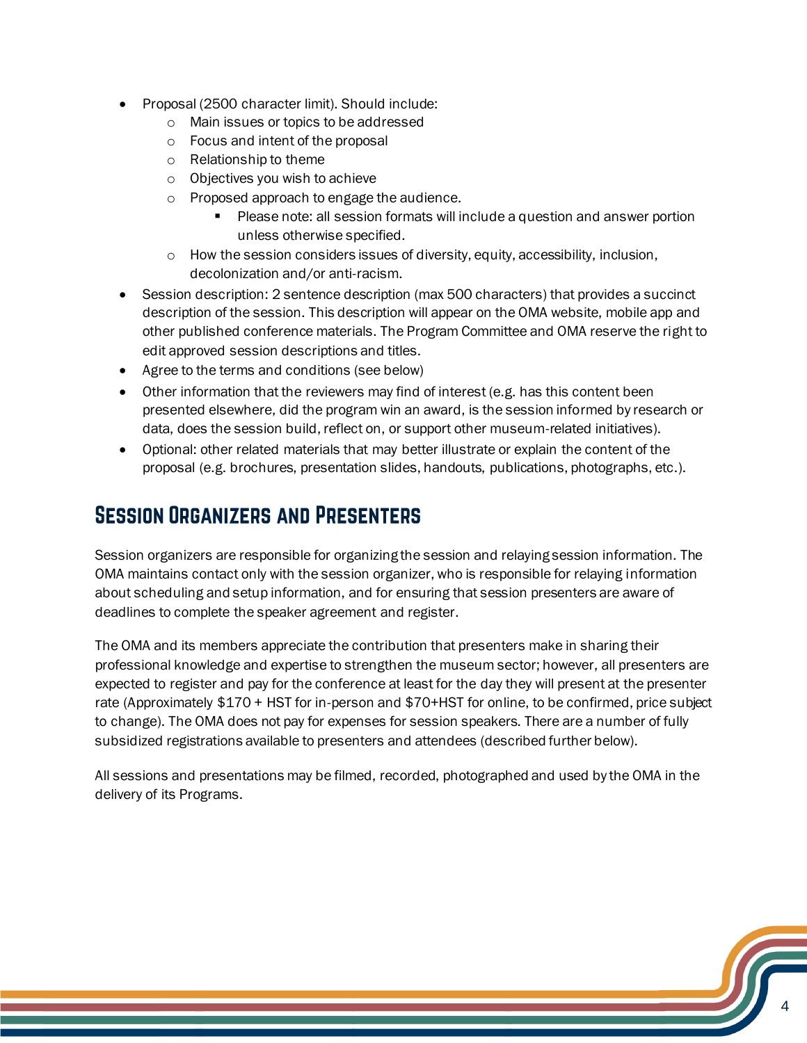- Proposal (2500 character limit). Should include:
	- o Main issues or topics to be addressed
	- o Focus and intent of the proposal
	- o Relationship to theme
	- o Objectives you wish to achieve
	- o Proposed approach to engage the audience.
		- **Please note: all session formats will include a question and answer portion** unless otherwise specified.
	- o How the session considers issues of diversity, equity, accessibility, inclusion, decolonization and/or anti-racism.
- Session description: 2 sentence description (max 500 characters) that provides a succinct description of the session. This description will appear on the OMA website, mobile app and other published conference materials. The Program Committee and OMA reserve the right to edit approved session descriptions and titles.
- Agree to the terms and conditions (see below)
- Other information that the reviewers may find of interest (e.g. has this content been presented elsewhere, did the program win an award, is the session informed by research or data, does the session build, reflect on, or support other museum-related initiatives).
- Optional: other related materials that may better illustrate or explain the content of the proposal (e.g. brochures, presentation slides, handouts, publications, photographs, etc.).

### **SESSION ORGANIZERS AND PRESENTERS**

Session organizers are responsible for organizing the session and relaying session information. The OMA maintains contact only with the session organizer, who is responsible for relaying information about scheduling and setup information, and for ensuring that session presenters are aware of deadlines to complete the speaker agreement and register.

The OMA and its members appreciate the contribution that presenters make in sharing their professional knowledge and expertise to strengthen the museum sector; however, all presenters are expected to register and pay for the conference at least for the day they will present at the presenter rate (Approximately \$170 + HST for in-person and \$70+HST for online, to be confirmed, price subject to change). The OMA does not pay for expenses for session speakers. There are a number of fully subsidized registrations available to presenters and attendees (described further below).

All sessions and presentations may be filmed, recorded, photographed and used by the OMA in the delivery of its Programs.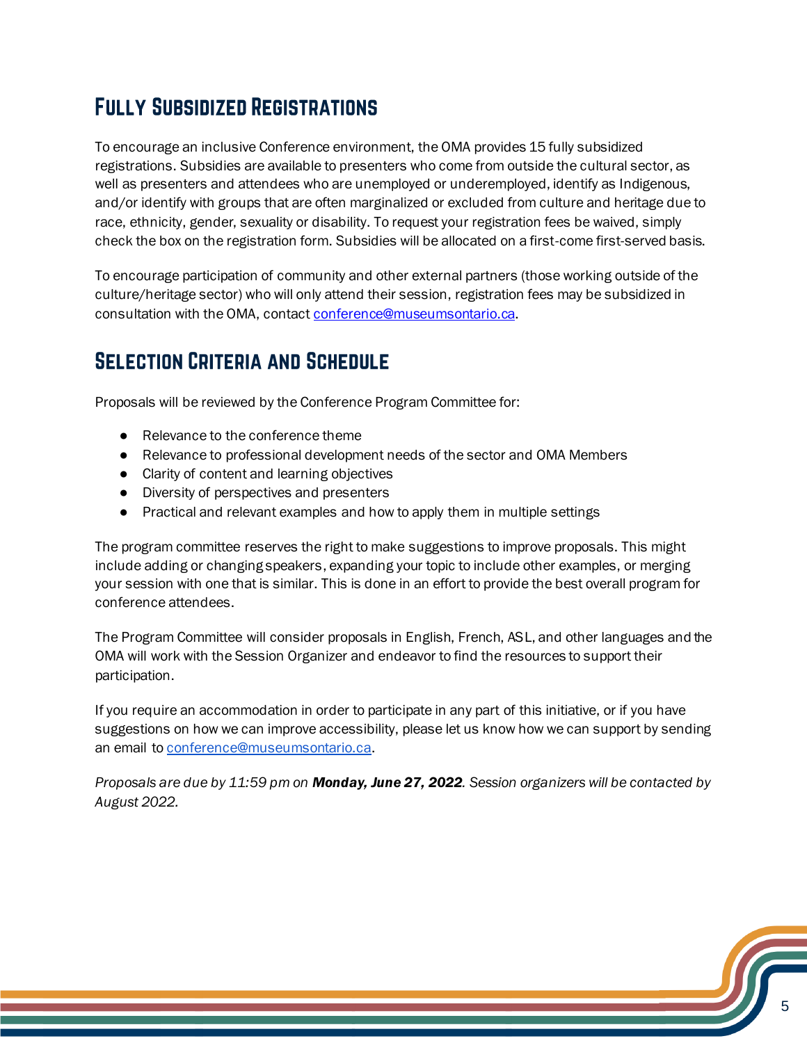# **FULLY SUBSIDIZED REGISTRATIONS**

To encourage an inclusive Conference environment, the OMA provides 15 fully subsidized registrations. Subsidies are available to presenters who come from outside the cultural sector, as well as presenters and attendees who are unemployed or underemployed, identify as Indigenous, and/or identify with groups that are often marginalized or excluded from culture and heritage due to race, ethnicity, gender, sexuality or disability. To request your registration fees be waived, simply check the box on the registration form. Subsidies will be allocated on a first-come first-served basis.

To encourage participation of community and other external partners (those working outside of the culture/heritage sector) who will only attend their session, registration fees may be subsidized in consultation with the OMA, contac[t conference@museumsontario.ca.](mailto:conference@museumsontario.ca)

## **SELECTION CRITERIA AND SCHEDULE**

Proposals will be reviewed by the Conference Program Committee for:

- Relevance to the conference theme
- Relevance to professional development needs of the sector and OMA Members
- Clarity of content and learning objectives
- Diversity of perspectives and presenters
- Practical and relevant examples and how to apply them in multiple settings

The program committee reserves the right to make suggestions to improve proposals. This might include adding or changing speakers, expanding your topic to include other examples, or merging your session with one that is similar. This is done in an effort to provide the best overall program for conference attendees.

The Program Committee will consider proposals in English, French, ASL, and other languages and the OMA will work with the Session Organizer and endeavor to find the resources to support their participation.

If you require an accommodation in order to participate in any part of this initiative, or if you have suggestions on how we can improve accessibility, please let us know how we can support by sending an email t[o conference@museumsontario.ca](mailto:conference@museumsontario.ca).

*Proposals are due by 11:59 pm on Monday, June 27, 2022. Session organizers will be contacted by August 2022.*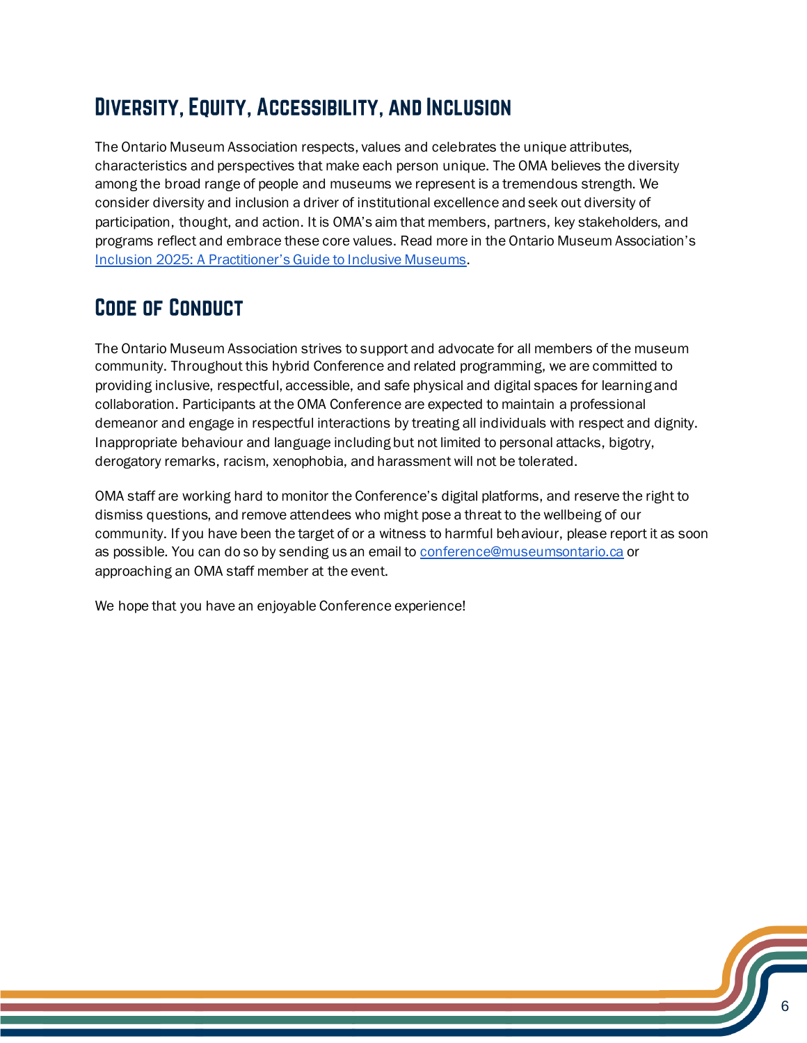# **DIVERSITY, EQUITY, ACCESSIBILITY, AND INCLUSION**

The Ontario Museum Association respects, values and celebrates the unique attributes, characteristics and perspectives that make each person unique. The OMA believes the diversity among the broad range of people and museums we represent is a tremendous strength. We consider diversity and inclusion a driver of institutional excellence and seek out diversity of participation, thought, and action. It is OMA's aim that members, partners, key stakeholders, and programs reflect and embrace these core values. Read more in the Ontario Museum Association'[s](https://members.museumsontario.ca/inclusion2025/) [Inclusion 2025: A Practitioner's Guide to Inclusive Museums](https://members.museumsontario.ca/inclusion2025/).

# **CODE OF CONDUCT**

The Ontario Museum Association strives to support and advocate for all members of the museum community. Throughout this hybrid Conference and related programming, we are committed to providing inclusive, respectful, accessible, and safe physical and digital spaces for learning and collaboration. Participants at the OMA Conference are expected to maintain a professional demeanor and engage in respectful interactions by treating all individuals with respect and dignity. Inappropriate behaviour and language including but not limited to personal attacks, bigotry, derogatory remarks, racism, xenophobia, and harassment will not be tolerated.

OMA staff are working hard to monitor the Conference's digital platforms, and reserve the right to dismiss questions, and remove attendees who might pose a threat to the wellbeing of our community. If you have been the target of or a witness to harmful behaviour, please report it as soon as possible. You can do so by sending us an email t[o conference@museumsontario.ca](mailto:conference@museumsontario.ca) or approaching an OMA staff member at the event.

We hope that you have an enjoyable Conference experience!